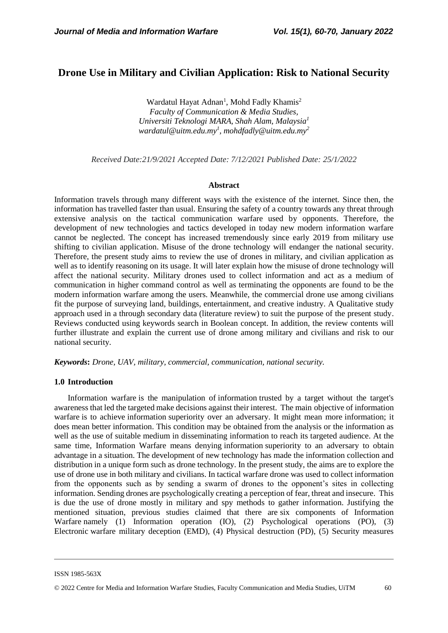# **Drone Use in Military and Civilian Application: Risk to National Security**

Wardatul Hayat Adnan<sup>1</sup>, Mohd Fadly Khamis<sup>2</sup> *Faculty of Communication & Media Studies, Universiti Teknologi MARA, Shah Alam, Malaysia<sup>1</sup> [wardatul@uitm.edu.my](about:blank)<sup>1</sup> , [mohdfadly@uitm.edu.my](mailto:mohdfadly@uitm.edu.my)<sup>2</sup>*

*Received Date:21/9/2021 Accepted Date: 7/12/2021 Published Date: 25/1/2022*

#### **Abstract**

Information travels through many different ways with the existence of the internet. Since then, the information has travelled faster than usual. Ensuring the safety of a country towards any threat through extensive analysis on the tactical communication warfare used by opponents. Therefore, the development of new technologies and tactics developed in today new modern information warfare cannot be neglected. The concept has increased tremendously since early 2019 from military use shifting to civilian application. Misuse of the drone technology will endanger the national security. Therefore, the present study aims to review the use of drones in military, and civilian application as well as to identify reasoning on its usage. It will later explain how the misuse of drone technology will affect the national security. Military drones used to collect information and act as a medium of communication in higher command control as well as terminating the opponents are found to be the modern information warfare among the users. Meanwhile, the commercial drone use among civilians fit the purpose of surveying land, buildings, entertainment, and creative industry. A Qualitative study approach used in a through secondary data (literature review) to suit the purpose of the present study. Reviews conducted using keywords search in Boolean concept. In addition, the review contents will further illustrate and explain the current use of drone among military and civilians and risk to our national security.

*Keywords***:** *Drone, UAV, military, commercial, communication, national security.*

#### **1.0 Introduction**

Information warfare is the manipulation of information trusted by a target without the target's awareness that led the targeted make decisions against their interest. The main objective of information warfare is to achieve information superiority over an adversary. It might mean more information; it does mean better information. This condition may be obtained from the analysis or the information as well as the use of suitable medium in disseminating information to reach its targeted audience. At the same time, Information Warfare means denying information superiority to an adversary to obtain advantage in a situation. The development of new technology has made the information collection and distribution in a unique form such as drone technology. In the present study, the aims are to explore the use of drone use in both military and civilians. In tactical warfare drone was used to collect information from the opponents such as by sending a swarm of drones to the opponent's sites in collecting information. Sending drones are psychologically creating a perception of fear, threat and insecure. This is due the use of drone mostly in military and spy methods to gather information. Justifying the mentioned situation, previous studies claimed that there are six components of Information Warfare namely (1) Information operation (IO), (2) Psychological operations (PO), (3) Electronic warfare military deception (EMD), (4) Physical destruction (PD), (5) Security measures

ISSN 1985-563X

<sup>© 2022</sup> Centre for Media and Information Warfare Studies, Faculty Communication and Media Studies, UiTM 60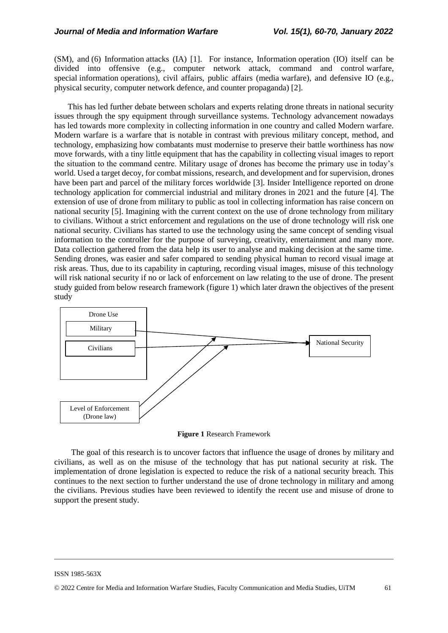(SM), and (6) Information attacks (IA) [1]. For instance, Information operation (IO) itself can be divided into offensive (e.g., computer network attack, command and control warfare, special information operations), civil affairs, public affairs (media warfare), and defensive IO (e.g., physical security, computer network defence, and counter propaganda) [2].

This has led further debate between scholars and experts relating drone threats in national security issues through the spy equipment through surveillance systems. Technology advancement nowadays has led towards more complexity in collecting information in one country and called Modern warfare. Modern warfare is a warfare that is notable in contrast with previous military concept, method, and technology, emphasizing how combatants must modernise to preserve their battle worthiness has now move forwards, with a tiny little equipment that has the capability in collecting visual images to report the situation to the command centre. Military usage of drones has become the primary use in today's world. Used a target decoy, for combat missions, research, and development and for supervision, drones have been part and parcel of the military forces worldwide [3]. Insider Intelligence reported on drone technology application for commercial industrial and military drones in 2021 and the future [4]. The extension of use of drone from military to public as tool in collecting information has raise concern on national security [5]. Imagining with the current context on the use of drone technology from military to civilians. Without a strict enforcement and regulations on the use of drone technology will risk one national security. Civilians has started to use the technology using the same concept of sending visual information to the controller for the purpose of surveying, creativity, entertainment and many more. Data collection gathered from the data help its user to analyse and making decision at the same time. Sending drones, was easier and safer compared to sending physical human to record visual image at risk areas. Thus, due to its capability in capturing, recording visual images, misuse of this technology will risk national security if no or lack of enforcement on law relating to the use of drone. The present study guided from below research framework (figure 1) which later drawn the objectives of the present study



**Figure 1** Research Framework

The goal of this research is to uncover factors that influence the usage of drones by military and civilians, as well as on the misuse of the technology that has put national security at risk. The implementation of drone legislation is expected to reduce the risk of a national security breach. This continues to the next section to further understand the use of drone technology in military and among the civilians. Previous studies have been reviewed to identify the recent use and misuse of drone to support the present study.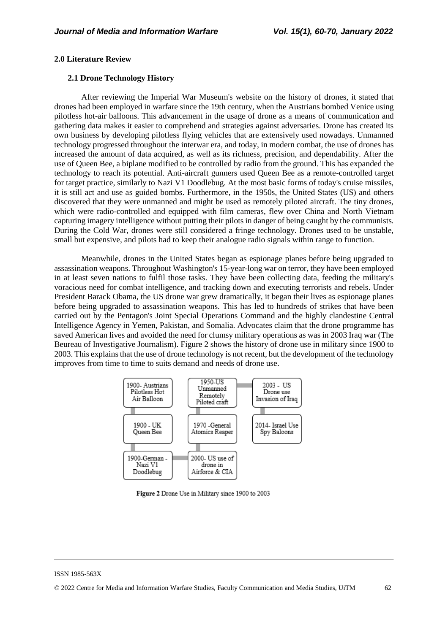#### **2.0 Literature Review**

### **2.1 Drone Technology History**

After reviewing the Imperial War Museum's website on the history of drones, it stated that drones had been employed in warfare since the 19th century, when the Austrians bombed Venice using pilotless hot-air balloons. This advancement in the usage of drone as a means of communication and gathering data makes it easier to comprehend and strategies against adversaries. Drone has created its own business by developing pilotless flying vehicles that are extensively used nowadays. Unmanned technology progressed throughout the interwar era, and today, in modern combat, the use of drones has increased the amount of data acquired, as well as its richness, precision, and dependability. After the use of Queen Bee, a biplane modified to be controlled by radio from the ground. This has expanded the technology to reach its potential. Anti-aircraft gunners used Queen Bee as a remote-controlled target for target practice, similarly to Nazi V1 Doodlebug. At the most basic forms of today's cruise missiles, it is still act and use as guided bombs. Furthermore, in the 1950s, the United States (US) and others discovered that they were unmanned and might be used as remotely piloted aircraft. The tiny drones, which were radio-controlled and equipped with film cameras, flew over China and North Vietnam capturing imagery intelligence without putting their pilots in danger of being caught by the communists. During the Cold War, drones were still considered a fringe technology. Drones used to be unstable, small but expensive, and pilots had to keep their analogue radio signals within range to function.

Meanwhile, drones in the United States began as espionage planes before being upgraded to assassination weapons. Throughout Washington's 15-year-long war on terror, they have been employed in at least seven nations to fulfil those tasks. They have been collecting data, feeding the military's voracious need for combat intelligence, and tracking down and executing terrorists and rebels. Under President Barack Obama, the US drone war grew dramatically, it began their lives as espionage planes before being upgraded to assassination weapons. This has led to hundreds of strikes that have been carried out by the Pentagon's Joint Special Operations Command and the highly clandestine Central Intelligence Agency in Yemen, Pakistan, and Somalia. Advocates claim that the drone programme has saved American lives and avoided the need for clumsy military operations as was in 2003 Iraq war (The Beureau of Investigative Journalism). Figure 2 shows the history of drone use in military since 1900 to 2003. This explains that the use of drone technology is not recent, but the development of the technology improves from time to time to suits demand and needs of drone use.



Figure 2 Drone Use in Military since 1900 to 2003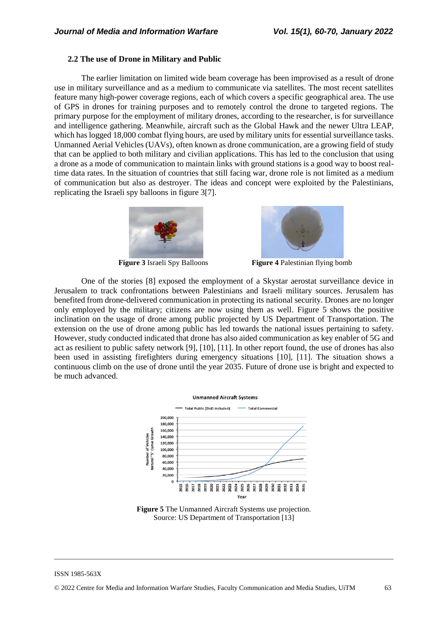#### **2.2 The use of Drone in Military and Public**

The earlier limitation on limited wide beam coverage has been improvised as a result of drone use in military surveillance and as a medium to communicate via satellites. The most recent satellites feature many high-power coverage regions, each of which covers a specific geographical area. The use of GPS in drones for training purposes and to remotely control the drone to targeted regions. The primary purpose for the employment of military drones, according to the researcher, is for surveillance and intelligence gathering. Meanwhile, aircraft such as the Global Hawk and the newer Ultra LEAP, which has logged 18,000 combat flying hours, are used by military units for essential surveillance tasks. Unmanned Aerial Vehicles (UAVs), often known as drone communication, are a growing field of study that can be applied to both military and civilian applications. This has led to the conclusion that using a drone as a mode of communication to maintain links with ground stations is a good way to boost realtime data rates. In the situation of countries that still facing war, drone role is not limited as a medium of communication but also as destroyer. The ideas and concept were exploited by the Palestinians, replicating the Israeli spy balloons in figure 3[7].





**Figure 3** Israeli Spy Balloons **Figure 4** Palestinian flying bomb

One of the stories [8] exposed the employment of a Skystar aerostat surveillance device in Jerusalem to track confrontations between Palestinians and Israeli military sources. Jerusalem has benefited from drone-delivered communication in protecting its national security. Drones are no longer only employed by the military; citizens are now using them as well. Figure 5 shows the positive inclination on the usage of drone among public projected by US Department of Transportation. The extension on the use of drone among public has led towards the national issues pertaining to safety. However, study conducted indicated that drone has also aided communication as key enabler of 5G and act as resilient to public safety network [9], [10], [11]. In other report found, the use of drones has also been used in assisting firefighters during emergency situations [10], [11]. The situation shows a continuous climb on the use of drone until the year 2035. Future of drone use is bright and expected to be much advanced.



**Figure 5** The Unmanned Aircraft Systems use projection. Source: US Department of Transportation [13]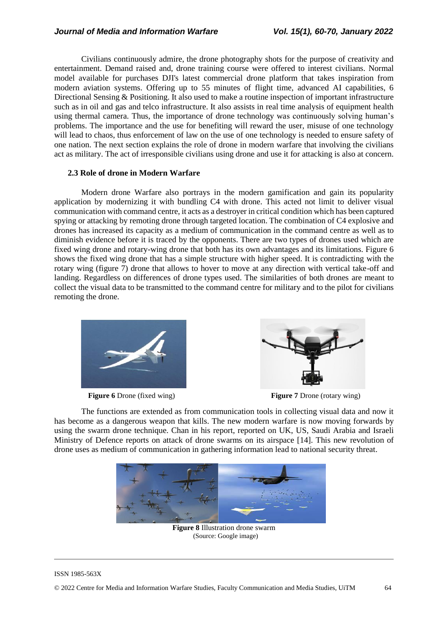Civilians continuously admire, the drone photography shots for the purpose of creativity and entertainment. Demand raised and, drone training course were offered to interest civilians. Normal model available for purchases DJI's latest commercial drone platform that takes inspiration from modern aviation systems. Offering up to 55 minutes of flight time, advanced AI capabilities, 6 Directional Sensing & Positioning. It also used to make a routine inspection of important infrastructure such as in oil and gas and telco infrastructure. It also assists in real time analysis of equipment health using thermal camera. Thus, the importance of drone technology was continuously solving human's problems. The importance and the use for benefiting will reward the user, misuse of one technology will lead to chaos, thus enforcement of law on the use of one technology is needed to ensure safety of one nation. The next section explains the role of drone in modern warfare that involving the civilians act as military. The act of irresponsible civilians using drone and use it for attacking is also at concern.

#### **2.3 Role of drone in Modern Warfare**

Modern drone Warfare also portrays in the modern gamification and gain its popularity application by modernizing it with bundling C4 with drone. This acted not limit to deliver visual communication with command centre, it acts as a destroyer in critical condition which has been captured spying or attacking by remoting drone through targeted location. The combination of C4 explosive and drones has increased its capacity as a medium of communication in the command centre as well as to diminish evidence before it is traced by the opponents. There are two types of drones used which are fixed wing drone and rotary-wing drone that both has its own advantages and its limitations. Figure 6 shows the fixed wing drone that has a simple structure with higher speed. It is contradicting with the rotary wing (figure 7) drone that allows to hover to move at any direction with vertical take-off and landing. Regardless on differences of drone types used. The similarities of both drones are meant to collect the visual data to be transmitted to the command centre for military and to the pilot for civilians remoting the drone.





**Figure 6** Drone (fixed wing) **Figure 7** Drone (rotary wing)

The functions are extended as from communication tools in collecting visual data and now it has become as a dangerous weapon that kills. The new modern warfare is now moving forwards by using the swarm drone technique. Chan in his report, reported on UK, US, Saudi Arabia and Israeli Ministry of Defence reports on attack of drone swarms on its airspace [14]. This new revolution of drone uses as medium of communication in gathering information lead to national security threat.



(Source: Google image)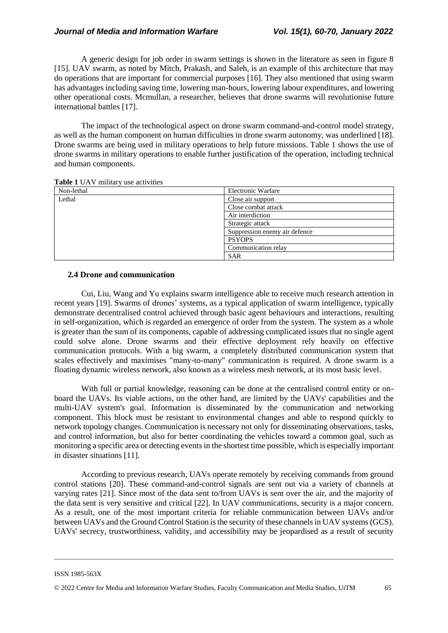A generic design for job order in swarm settings is shown in the literature as seen in figure 8 [15]. UAV swarm, as noted by Mitch, Prakash, and Saleh, is an example of this architecture that may do operations that are important for commercial purposes [16]. They also mentioned that using swarm has advantages including saving time, lowering man-hours, lowering labour expenditures, and lowering other operational costs. Mcmullan, a researcher, believes that drone swarms will revolutionise future international battles [17].

The impact of the technological aspect on drone swarm command-and-control model strategy, as well as the human component on human difficulties in drone swarm autonomy, was underlined [18]. Drone swarms are being used in military operations to help future missions. Table 1 shows the use of drone swarms in military operations to enable further justification of the operation, including technical and human components.

| Non-lethal<br>Electronic Warfare<br>Lethal<br>Close air support<br>Close combat attack<br>Air interdiction<br>Strategic attack<br>Suppression enemy air defence |  |
|-----------------------------------------------------------------------------------------------------------------------------------------------------------------|--|
|                                                                                                                                                                 |  |
|                                                                                                                                                                 |  |
|                                                                                                                                                                 |  |
|                                                                                                                                                                 |  |
|                                                                                                                                                                 |  |
|                                                                                                                                                                 |  |
| <b>PSYOPS</b>                                                                                                                                                   |  |
| Communication relay                                                                                                                                             |  |
| <b>SAR</b>                                                                                                                                                      |  |

**Table 1** UAV military use activities

### **2.4 Drone and communication**

Cui, Liu, Wang and Yu explains swarm intelligence able to receive much research attention in recent years [19]. Swarms of drones' systems, as a typical application of swarm intelligence, typically demonstrate decentralised control achieved through basic agent behaviours and interactions, resulting in self-organization, which is regarded an emergence of order from the system. The system as a whole is greater than the sum of its components, capable of addressing complicated issues that no single agent could solve alone. Drone swarms and their effective deployment rely heavily on effective communication protocols. With a big swarm, a completely distributed communication system that scales effectively and maximises "many-to-many" communication is required. A drone swarm is a floating dynamic wireless network, also known as a wireless mesh network, at its most basic level.

With full or partial knowledge, reasoning can be done at the centralised control entity or onboard the UAVs. Its viable actions, on the other hand, are limited by the UAVs' capabilities and the multi-UAV system's goal. Information is disseminated by the communication and networking component. This block must be resistant to environmental changes and able to respond quickly to network topology changes. Communication is necessary not only for disseminating observations, tasks, and control information, but also for better coordinating the vehicles toward a common goal, such as monitoring a specific area or detecting events in the shortest time possible, which is especially important in disaster situations [11].

According to previous research, UAVs operate remotely by receiving commands from ground control stations [20]. These command-and-control signals are sent out via a variety of channels at varying rates [21]. Since most of the data sent to/from UAVs is sent over the air, and the majority of the data sent is very sensitive and critical [22]. In UAV communications, security is a major concern. As a result, one of the most important criteria for reliable communication between UAVs and/or between UAVs and the Ground Control Station is the security of these channels in UAV systems (GCS). UAVs' secrecy, trustworthiness, validity, and accessibility may be jeopardised as a result of security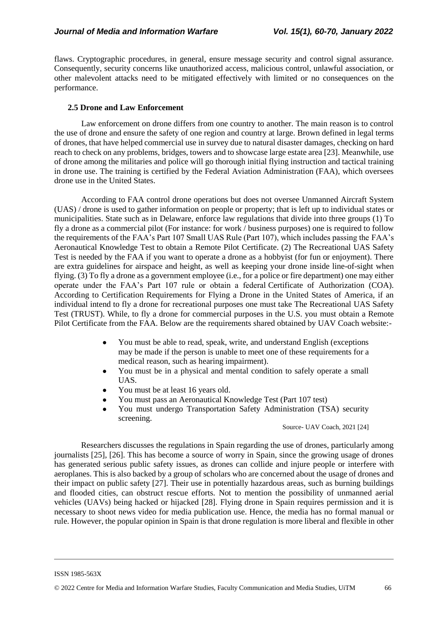flaws. Cryptographic procedures, in general, ensure message security and control signal assurance. Consequently, security concerns like unauthorized access, malicious control, unlawful association, or other malevolent attacks need to be mitigated effectively with limited or no consequences on the performance.

## **2.5 Drone and Law Enforcement**

Law enforcement on drone differs from one country to another. The main reason is to control the use of drone and ensure the safety of one region and country at large. Brown defined in legal terms of drones, that have helped commercial use in survey due to natural disaster damages, checking on hard reach to check on any problems, bridges, towers and to showcase large estate area [23]. Meanwhile, use of drone among the militaries and police will go thorough initial flying instruction and tactical training in drone use. The training is certified by the Federal Aviation Administration (FAA), which oversees drone use in the United States.

According to FAA control drone operations but does not oversee Unmanned Aircraft System (UAS) / drone is used to gather information on people or property; that is left up to individual states or municipalities. State such as in Delaware, enforce law regulations that divide into three groups (1) To fly a drone as a commercial pilot (For instance: for work / business purposes) one is required to follow the requirements of the FAA's Part 107 Small UAS Rule (Part 107), which includes passing the FAA's Aeronautical Knowledge Test to obtain a Remote Pilot Certificate. (2) The Recreational UAS Safety Test is needed by the FAA if you want to operate a drone as a hobbyist (for fun or enjoyment). There are extra guidelines for airspace and height, as well as keeping your drone inside line-of-sight when flying. (3) To fly a drone as a government employee (i.e., for a police or fire department) one may either operate under the FAA's Part 107 rule or obtain a federal Certificate of Authorization (COA). According to Certification Requirements for Flying a Drone in the United States of America, if an individual intend to fly a drone for recreational purposes one must take The Recreational UAS Safety Test (TRUST). While, to fly a drone for commercial purposes in the U.S. you must obtain a Remote Pilot Certificate from the FAA. Below are the requirements shared obtained by UAV Coach website:-

- You must be able to read, speak, write, and understand English (exceptions may be made if the person is unable to meet one of these requirements for a medical reason, such as hearing impairment).
- You must be in a physical and mental condition to safely operate a small UAS.
- You must be at least 16 years old.
- You must pass an Aeronautical Knowledge Test (Part 107 test)
- You must undergo Transportation Safety Administration (TSA) security screening.

Source- UAV Coach, 2021 [24]

Researchers discusses the regulations in Spain regarding the use of drones, particularly among journalists [25], [26]. This has become a source of worry in Spain, since the growing usage of drones has generated serious public safety issues, as drones can collide and injure people or interfere with aeroplanes. This is also backed by a group of scholars who are concerned about the usage of drones and their impact on public safety [27]. Their use in potentially hazardous areas, such as burning buildings and flooded cities, can obstruct rescue efforts. Not to mention the possibility of unmanned aerial vehicles (UAVs) being hacked or hijacked [28]. Flying drone in Spain requires permission and it is necessary to shoot news video for media publication use. Hence, the media has no formal manual or rule. However, the popular opinion in Spain is that drone regulation is more liberal and flexible in other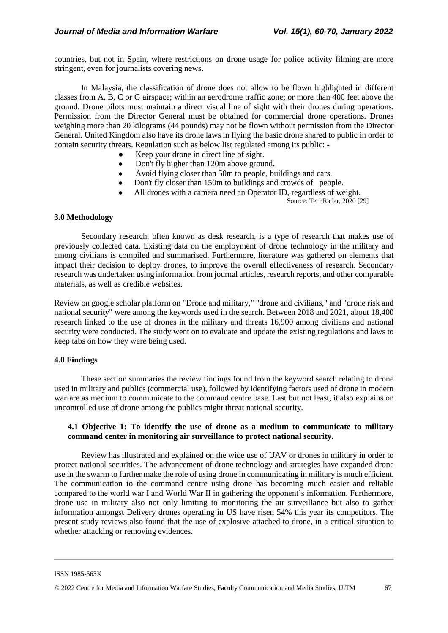countries, but not in Spain, where restrictions on drone usage for police activity filming are more stringent, even for journalists covering news.

In Malaysia, the classification of drone does not allow to be flown highlighted in different classes from A, B, C or G airspace; within an aerodrome traffic zone; or more than 400 feet above the ground. Drone pilots must maintain a direct visual line of sight with their drones during operations. Permission from the Director General must be obtained for commercial drone operations. Drones weighing more than 20 kilograms (44 pounds) may not be flown without permission from the Director General. United Kingdom also have its drone laws in flying the basic drone shared to public in order to contain security threats. Regulation such as below list regulated among its public: -

- Keep your drone in direct line of sight.
- Don't fly higher than 120m above ground.
- Avoid flying closer than 50m to people, buildings and cars.
- Don't fly closer than 150m to buildings and crowds of people.
- All drones with a camera need an Operator ID, regardless of weight.

Source: TechRadar, 2020 [29]

#### **3.0 Methodology**

Secondary research, often known as desk research, is a type of research that makes use of previously collected data. Existing data on the employment of drone technology in the military and among civilians is compiled and summarised. Furthermore, literature was gathered on elements that impact their decision to deploy drones, to improve the overall effectiveness of research. Secondary research was undertaken using information from journal articles, research reports, and other comparable materials, as well as credible websites.

Review on google scholar platform on "Drone and military," "drone and civilians," and "drone risk and national security" were among the keywords used in the search. Between 2018 and 2021, about 18,400 research linked to the use of drones in the military and threats 16,900 among civilians and national security were conducted. The study went on to evaluate and update the existing regulations and laws to keep tabs on how they were being used.

## **4.0 Findings**

These section summaries the review findings found from the keyword search relating to drone used in military and publics (commercial use), followed by identifying factors used of drone in modern warfare as medium to communicate to the command centre base. Last but not least, it also explains on uncontrolled use of drone among the publics might threat national security.

## **4.1 Objective 1: To identify the use of drone as a medium to communicate to military command center in monitoring air surveillance to protect national security.**

Review has illustrated and explained on the wide use of UAV or drones in military in order to protect national securities. The advancement of drone technology and strategies have expanded drone use in the swarm to further make the role of using drone in communicating in military is much efficient. The communication to the command centre using drone has becoming much easier and reliable compared to the world war I and World War II in gathering the opponent's information. Furthermore, drone use in military also not only limiting to monitoring the air surveillance but also to gather information amongst Delivery drones operating in US have risen 54% this year its competitors. The present study reviews also found that the use of explosive attached to drone, in a critical situation to whether attacking or removing evidences.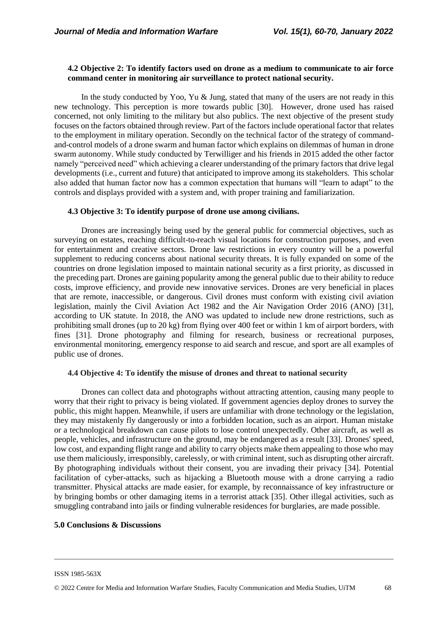## **4.2 Objective 2: To identify factors used on drone as a medium to communicate to air force command center in monitoring air surveillance to protect national security.**

In the study conducted by Yoo, Yu  $\&$  Jung, stated that many of the users are not ready in this new technology. This perception is more towards public [30]. However, drone used has raised concerned, not only limiting to the military but also publics. The next objective of the present study focuses on the factors obtained through review. Part of the factors include operational factor that relates to the employment in military operation. Secondly on the technical factor of the strategy of commandand-control models of a drone swarm and human factor which explains on dilemmas of human in drone swarm autonomy. While study conducted by Terwilliger and his friends in 2015 added the other factor namely "perceived need" which achieving a clearer understanding of the primary factors that drive legal developments (i.e., current and future) that anticipated to improve among its stakeholders. This scholar also added that human factor now has a common expectation that humans will "learn to adapt" to the controls and displays provided with a system and, with proper training and familiarization.

### **4.3 Objective 3: To identify purpose of drone use among civilians.**

Drones are increasingly being used by the general public for commercial objectives, such as surveying on estates, reaching difficult-to-reach visual locations for construction purposes, and even for entertainment and creative sectors. Drone law restrictions in every country will be a powerful supplement to reducing concerns about national security threats. It is fully expanded on some of the countries on drone legislation imposed to maintain national security as a first priority, as discussed in the preceding part. Drones are gaining popularity among the general public due to their ability to reduce costs, improve efficiency, and provide new innovative services. Drones are very beneficial in places that are remote, inaccessible, or dangerous. Civil drones must conform with existing civil aviation legislation, mainly the Civil Aviation Act 1982 and the Air Navigation Order 2016 (ANO) [31], according to UK statute. In 2018, the ANO was updated to include new drone restrictions, such as prohibiting small drones (up to 20 kg) from flying over 400 feet or within 1 km of airport borders, with fines [31]. Drone photography and filming for research, business or recreational purposes, environmental monitoring, emergency response to aid search and rescue, and sport are all examples of public use of drones.

#### **4.4 Objective 4: To identify the misuse of drones and threat to national security**

Drones can collect data and photographs without attracting attention, causing many people to worry that their right to privacy is being violated. If government agencies deploy drones to survey the public, this might happen. Meanwhile, if users are unfamiliar with drone technology or the legislation, they may mistakenly fly dangerously or into a forbidden location, such as an airport. Human mistake or a technological breakdown can cause pilots to lose control unexpectedly. Other aircraft, as well as people, vehicles, and infrastructure on the ground, may be endangered as a result [33]. Drones' speed, low cost, and expanding flight range and ability to carry objects make them appealing to those who may use them maliciously, irresponsibly, carelessly, or with criminal intent, such as disrupting other aircraft. By photographing individuals without their consent, you are invading their privacy [34]. Potential facilitation of cyber-attacks, such as hijacking a Bluetooth mouse with a drone carrying a radio transmitter. Physical attacks are made easier, for example, by reconnaissance of key infrastructure or by bringing bombs or other damaging items in a terrorist attack [35]. Other illegal activities, such as smuggling contraband into jails or finding vulnerable residences for burglaries, are made possible.

#### **5.0 Conclusions & Discussions**

ISSN 1985-563X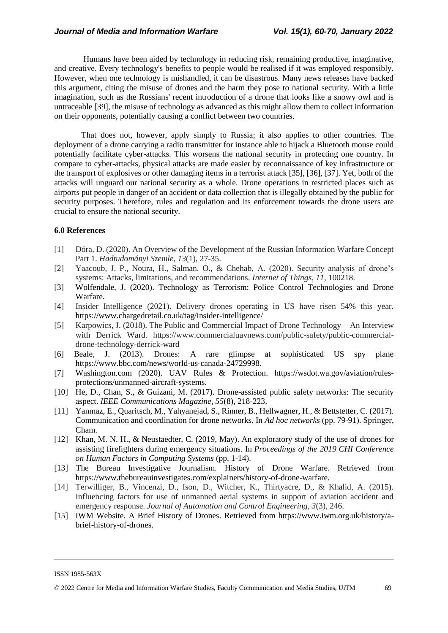Humans have been aided by technology in reducing risk, remaining productive, imaginative, and creative. Every technology's benefits to people would be realised if it was employed responsibly. However, when one technology is mishandled, it can be disastrous. Many news releases have backed this argument, citing the misuse of drones and the harm they pose to national security. With a little imagination, such as the Russians' recent introduction of a drone that looks like a snowy owl and is untraceable [39], the misuse of technology as advanced as this might allow them to collect information on their opponents, potentially causing a conflict between two countries.

That does not, however, apply simply to Russia; it also applies to other countries. The deployment of a drone carrying a radio transmitter for instance able to hijack a Bluetooth mouse could potentially facilitate cyber-attacks. This worsens the national security in protecting one country. In compare to cyber-attacks, physical attacks are made easier by reconnaissance of key infrastructure or the transport of explosives or other damaging items in a terrorist attack [35], [36], [37]. Yet, both of the attacks will unguard our national security as a whole. Drone operations in restricted places such as airports put people in danger of an accident or data collection that is illegally obtained by the public for security purposes. Therefore, rules and regulation and its enforcement towards the drone users are crucial to ensure the national security.

#### **6.0 References**

- [1] Dóra, D. (2020). An Overview of the Development of the Russian Information Warfare Concept Part 1. *Hadtudományi Szemle*, *13*(1), 27-35.
- [2] Yaacoub, J. P., Noura, H., Salman, O., & Chehab, A. (2020). Security analysis of drone's systems: Attacks, limitations, and recommendations. *Internet of Things*, *11*, 100218.
- [3] Wolfendale, J. (2020). Technology as Terrorism: Police Control Technologies and Drone Warfare.
- [4] Insider Intelligence (2021). Delivery drones operating in US have risen 54% this year. https://www.chargedretail.co.uk/tag/insider-intelligence/
- [5] Karpowics, J. (2018). The Public and Commercial Impact of Drone Technology An Interview with Derrick Ward. https://www.commercialuavnews.com/public-safety/public-commercialdrone-technology-derrick-ward
- [6] Beale, J. (2013). Drones: A rare glimpse at sophisticated US spy plane https://www.bbc.com/news/world-us-canada-24729998.
- [7] Washington.com (2020). UAV Rules & Protection. https://wsdot.wa.gov/aviation/rulesprotections/unmanned-aircraft-systems.
- [10] He, D., Chan, S., & Guizani, M. (2017). Drone-assisted public safety networks: The security aspect. *IEEE Communications Magazine*, *55*(8), 218-223.
- [11] Yanmaz, E., Quaritsch, M., Yahyanejad, S., Rinner, B., Hellwagner, H., & Bettstetter, C. (2017). Communication and coordination for drone networks. In *Ad hoc networks* (pp. 79-91). Springer, Cham.
- [12] Khan, M. N. H., & Neustaedter, C. (2019, May). An exploratory study of the use of drones for assisting firefighters during emergency situations. In *Proceedings of the 2019 CHI Conference on Human Factors in Computing Systems* (pp. 1-14).
- [13] The Bureau Investigative Journalism. History of Drone Warfare. Retrieved from https://www.thebureauinvestigates.com/explainers/history-of-drone-warfare.
- [14] Terwilliger, B., Vincenzi, D., Ison, D., Witcher, K., Thirtyacre, D., & Khalid, A. (2015). Influencing factors for use of unmanned aerial systems in support of aviation accident and emergency response. *Journal of Automation and Control Engineering*, *3*(3), 246.
- [15] IWM Website. A Brief History of Drones. Retrieved from https://www.iwm.org.uk/history/abrief-history-of-drones.

ISSN 1985-563X